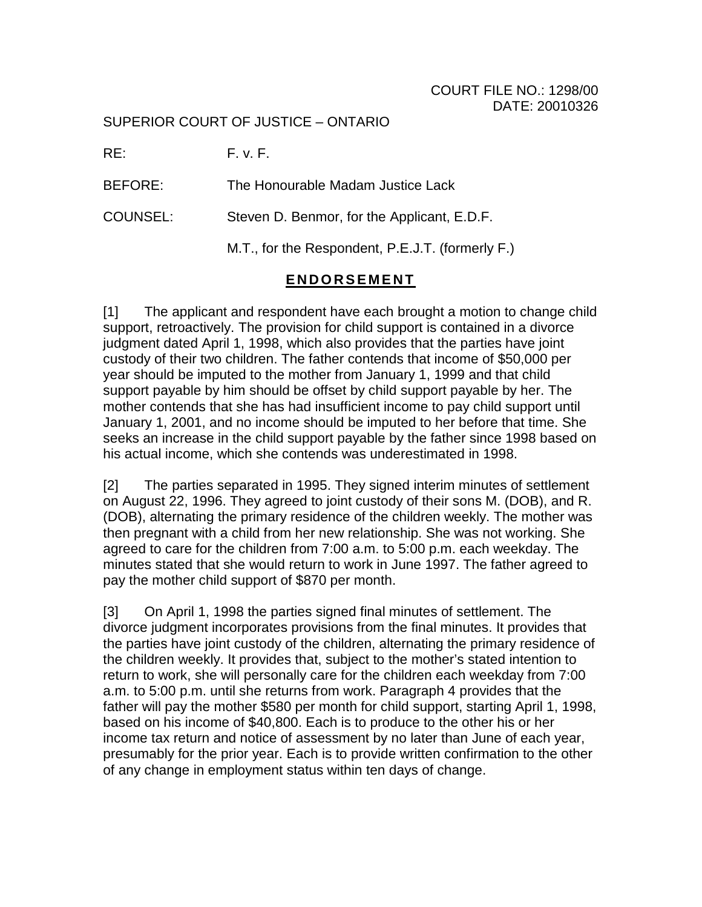## COURT FILE NO.: 1298/00 DATE: 20010326

SUPERIOR COURT OF JUSTICE – ONTARIO

RE: F. v. F.

BEFORE: The Honourable Madam Justice Lack

COUNSEL: Steven D. Benmor, for the Applicant, E.D.F.

M.T., for the Respondent, P.E.J.T. (formerly F.)

## **ENDORSEMENT**

[1] The applicant and respondent have each brought a motion to change child support, retroactively. The provision for child support is contained in a divorce judgment dated April 1, 1998, which also provides that the parties have joint custody of their two children. The father contends that income of \$50,000 per year should be imputed to the mother from January 1, 1999 and that child support payable by him should be offset by child support payable by her. The mother contends that she has had insufficient income to pay child support until January 1, 2001, and no income should be imputed to her before that time. She seeks an increase in the child support payable by the father since 1998 based on his actual income, which she contends was underestimated in 1998.

[2] The parties separated in 1995. They signed interim minutes of settlement on August 22, 1996. They agreed to joint custody of their sons M. (DOB), and R. (DOB), alternating the primary residence of the children weekly. The mother was then pregnant with a child from her new relationship. She was not working. She agreed to care for the children from 7:00 a.m. to 5:00 p.m. each weekday. The minutes stated that she would return to work in June 1997. The father agreed to pay the mother child support of \$870 per month.

[3] On April 1, 1998 the parties signed final minutes of settlement. The divorce judgment incorporates provisions from the final minutes. It provides that the parties have joint custody of the children, alternating the primary residence of the children weekly. It provides that, subject to the mother's stated intention to return to work, she will personally care for the children each weekday from 7:00 a.m. to 5:00 p.m. until she returns from work. Paragraph 4 provides that the father will pay the mother \$580 per month for child support, starting April 1, 1998, based on his income of \$40,800. Each is to produce to the other his or her income tax return and notice of assessment by no later than June of each year, presumably for the prior year. Each is to provide written confirmation to the other of any change in employment status within ten days of change.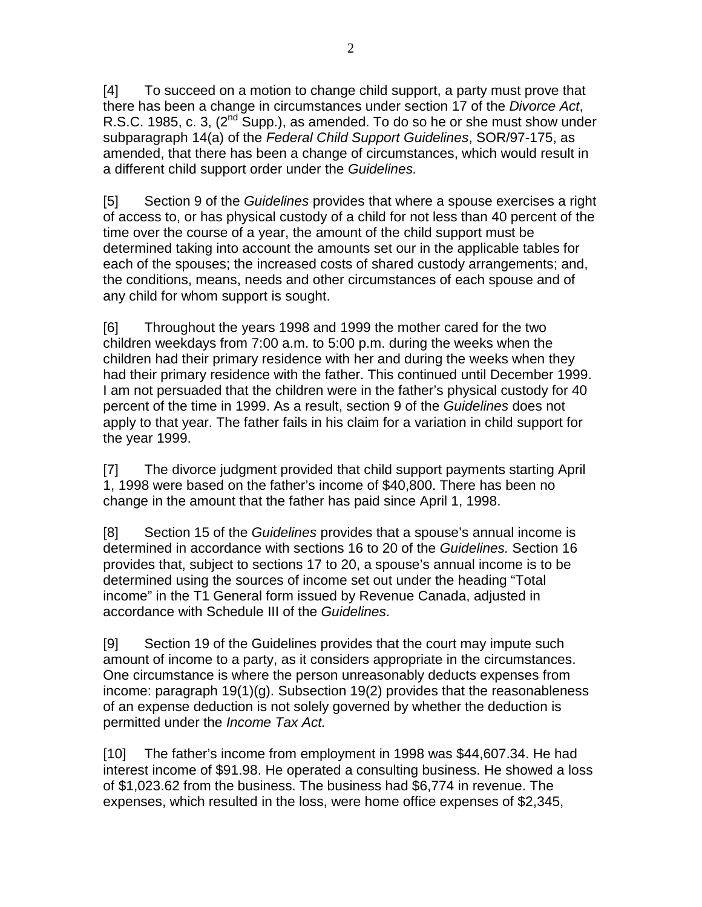[4] To succeed on a motion to change child support, a party must prove that there has been a change in circumstances under section 17 of the *Divorce Act*, R.S.C. 1985, c. 3,  $(2^{nd}$  Supp.), as amended. To do so he or she must show under subparagraph 14(a) of the *Federal Child Support Guidelines*, SOR/97-175, as amended, that there has been a change of circumstances, which would result in a different child support order under the *Guidelines.*

[5] Section 9 of the *Guidelines* provides that where a spouse exercises a right of access to, or has physical custody of a child for not less than 40 percent of the time over the course of a year, the amount of the child support must be determined taking into account the amounts set our in the applicable tables for each of the spouses; the increased costs of shared custody arrangements; and, the conditions, means, needs and other circumstances of each spouse and of any child for whom support is sought.

[6] Throughout the years 1998 and 1999 the mother cared for the two children weekdays from 7:00 a.m. to 5:00 p.m. during the weeks when the children had their primary residence with her and during the weeks when they had their primary residence with the father. This continued until December 1999. I am not persuaded that the children were in the father's physical custody for 40 percent of the time in 1999. As a result, section 9 of the *Guidelines* does not apply to that year. The father fails in his claim for a variation in child support for the year 1999.

[7] The divorce judgment provided that child support payments starting April 1, 1998 were based on the father's income of \$40,800. There has been no change in the amount that the father has paid since April 1, 1998.

[8] Section 15 of the *Guidelines* provides that a spouse's annual income is determined in accordance with sections 16 to 20 of the *Guidelines.* Section 16 provides that, subject to sections 17 to 20, a spouse's annual income is to be determined using the sources of income set out under the heading "Total income" in the T1 General form issued by Revenue Canada, adjusted in accordance with Schedule III of the *Guidelines*.

[9] Section 19 of the Guidelines provides that the court may impute such amount of income to a party, as it considers appropriate in the circumstances. One circumstance is where the person unreasonably deducts expenses from income: paragraph 19(1)(g). Subsection 19(2) provides that the reasonableness of an expense deduction is not solely governed by whether the deduction is permitted under the *Income Tax Act.* 

[10] The father's income from employment in 1998 was \$44,607.34. He had interest income of \$91.98. He operated a consulting business. He showed a loss of \$1,023.62 from the business. The business had \$6,774 in revenue. The expenses, which resulted in the loss, were home office expenses of \$2,345,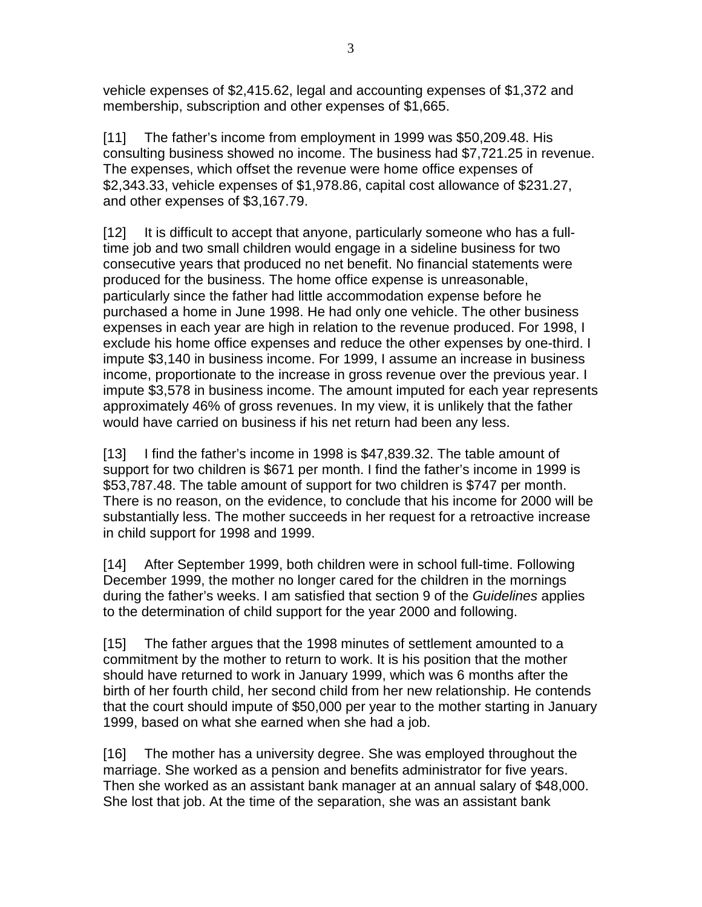vehicle expenses of \$2,415.62, legal and accounting expenses of \$1,372 and membership, subscription and other expenses of \$1,665.

[11] The father's income from employment in 1999 was \$50,209.48. His consulting business showed no income. The business had \$7,721.25 in revenue. The expenses, which offset the revenue were home office expenses of \$2,343.33, vehicle expenses of \$1,978.86, capital cost allowance of \$231.27, and other expenses of \$3,167.79.

[12] It is difficult to accept that anyone, particularly someone who has a fulltime job and two small children would engage in a sideline business for two consecutive years that produced no net benefit. No financial statements were produced for the business. The home office expense is unreasonable, particularly since the father had little accommodation expense before he purchased a home in June 1998. He had only one vehicle. The other business expenses in each year are high in relation to the revenue produced. For 1998, I exclude his home office expenses and reduce the other expenses by one-third. I impute \$3,140 in business income. For 1999, I assume an increase in business income, proportionate to the increase in gross revenue over the previous year. I impute \$3,578 in business income. The amount imputed for each year represents approximately 46% of gross revenues. In my view, it is unlikely that the father would have carried on business if his net return had been any less.

[13] I find the father's income in 1998 is \$47,839.32. The table amount of support for two children is \$671 per month. I find the father's income in 1999 is \$53,787.48. The table amount of support for two children is \$747 per month. There is no reason, on the evidence, to conclude that his income for 2000 will be substantially less. The mother succeeds in her request for a retroactive increase in child support for 1998 and 1999.

[14] After September 1999, both children were in school full-time. Following December 1999, the mother no longer cared for the children in the mornings during the father's weeks. I am satisfied that section 9 of the *Guidelines* applies to the determination of child support for the year 2000 and following.

[15] The father argues that the 1998 minutes of settlement amounted to a commitment by the mother to return to work. It is his position that the mother should have returned to work in January 1999, which was 6 months after the birth of her fourth child, her second child from her new relationship. He contends that the court should impute of \$50,000 per year to the mother starting in January 1999, based on what she earned when she had a job.

[16] The mother has a university degree. She was employed throughout the marriage. She worked as a pension and benefits administrator for five years. Then she worked as an assistant bank manager at an annual salary of \$48,000. She lost that job. At the time of the separation, she was an assistant bank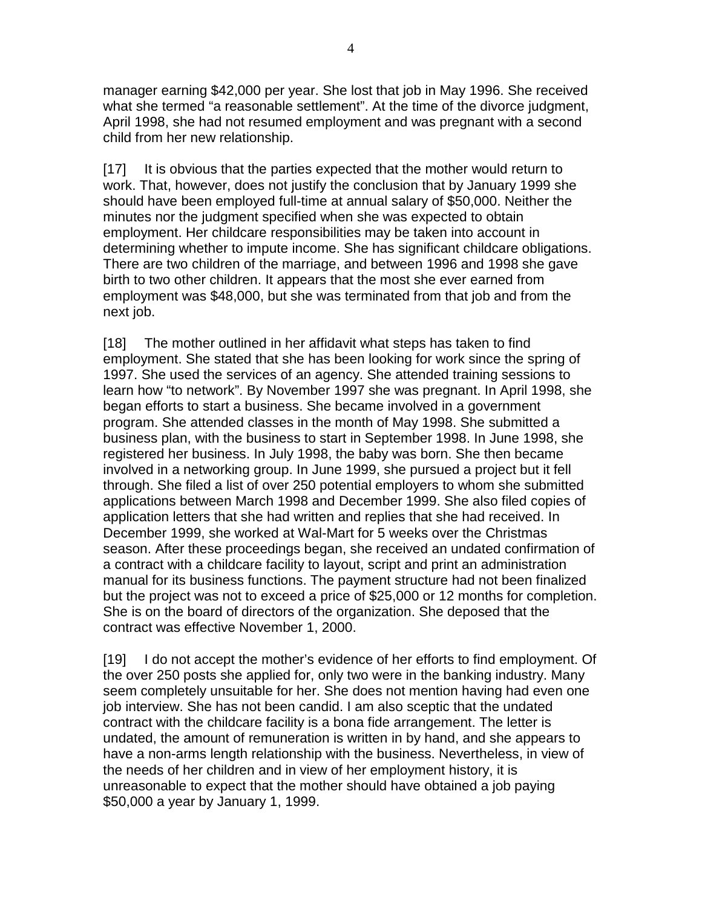manager earning \$42,000 per year. She lost that job in May 1996. She received what she termed "a reasonable settlement". At the time of the divorce judgment, April 1998, she had not resumed employment and was pregnant with a second child from her new relationship.

[17] It is obvious that the parties expected that the mother would return to work. That, however, does not justify the conclusion that by January 1999 she should have been employed full-time at annual salary of \$50,000. Neither the minutes nor the judgment specified when she was expected to obtain employment. Her childcare responsibilities may be taken into account in determining whether to impute income. She has significant childcare obligations. There are two children of the marriage, and between 1996 and 1998 she gave birth to two other children. It appears that the most she ever earned from employment was \$48,000, but she was terminated from that job and from the next job.

[18] The mother outlined in her affidavit what steps has taken to find employment. She stated that she has been looking for work since the spring of 1997. She used the services of an agency. She attended training sessions to learn how "to network". By November 1997 she was pregnant. In April 1998, she began efforts to start a business. She became involved in a government program. She attended classes in the month of May 1998. She submitted a business plan, with the business to start in September 1998. In June 1998, she registered her business. In July 1998, the baby was born. She then became involved in a networking group. In June 1999, she pursued a project but it fell through. She filed a list of over 250 potential employers to whom she submitted applications between March 1998 and December 1999. She also filed copies of application letters that she had written and replies that she had received. In December 1999, she worked at Wal-Mart for 5 weeks over the Christmas season. After these proceedings began, she received an undated confirmation of a contract with a childcare facility to layout, script and print an administration manual for its business functions. The payment structure had not been finalized but the project was not to exceed a price of \$25,000 or 12 months for completion. She is on the board of directors of the organization. She deposed that the contract was effective November 1, 2000.

[19] I do not accept the mother's evidence of her efforts to find employment. Of the over 250 posts she applied for, only two were in the banking industry. Many seem completely unsuitable for her. She does not mention having had even one job interview. She has not been candid. I am also sceptic that the undated contract with the childcare facility is a bona fide arrangement. The letter is undated, the amount of remuneration is written in by hand, and she appears to have a non-arms length relationship with the business. Nevertheless, in view of the needs of her children and in view of her employment history, it is unreasonable to expect that the mother should have obtained a job paying \$50,000 a year by January 1, 1999.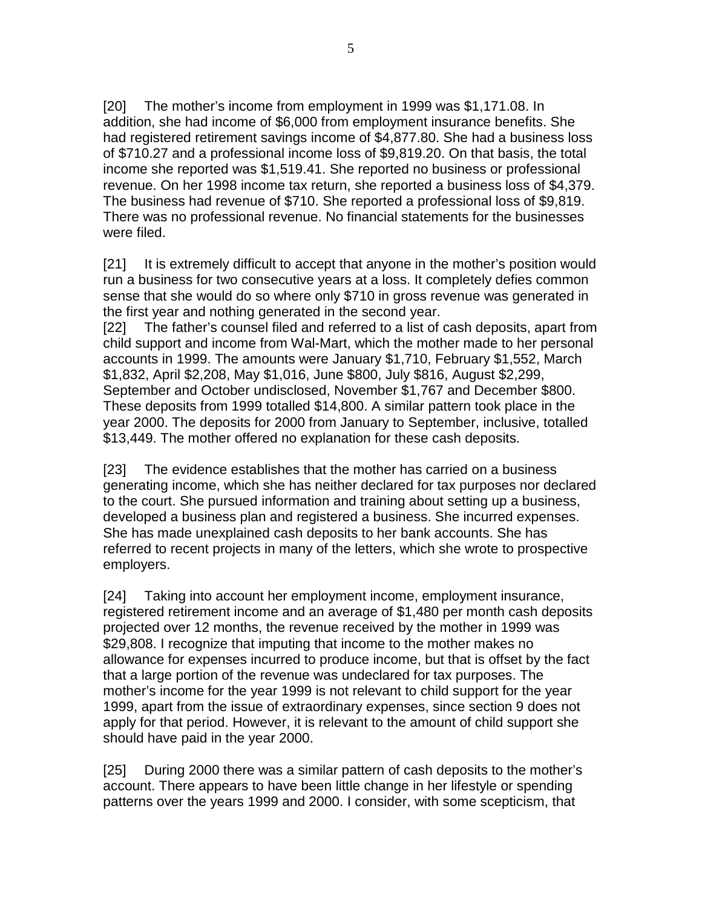[20] The mother's income from employment in 1999 was \$1,171.08. In addition, she had income of \$6,000 from employment insurance benefits. She had registered retirement savings income of \$4,877.80. She had a business loss of \$710.27 and a professional income loss of \$9,819.20. On that basis, the total income she reported was \$1,519.41. She reported no business or professional revenue. On her 1998 income tax return, she reported a business loss of \$4,379. The business had revenue of \$710. She reported a professional loss of \$9,819. There was no professional revenue. No financial statements for the businesses were filed.

[21] It is extremely difficult to accept that anyone in the mother's position would run a business for two consecutive years at a loss. It completely defies common sense that she would do so where only \$710 in gross revenue was generated in the first year and nothing generated in the second year.

[22] The father's counsel filed and referred to a list of cash deposits, apart from child support and income from Wal-Mart, which the mother made to her personal accounts in 1999. The amounts were January \$1,710, February \$1,552, March \$1,832, April \$2,208, May \$1,016, June \$800, July \$816, August \$2,299, September and October undisclosed, November \$1,767 and December \$800. These deposits from 1999 totalled \$14,800. A similar pattern took place in the year 2000. The deposits for 2000 from January to September, inclusive, totalled \$13,449. The mother offered no explanation for these cash deposits.

[23] The evidence establishes that the mother has carried on a business generating income, which she has neither declared for tax purposes nor declared to the court. She pursued information and training about setting up a business, developed a business plan and registered a business. She incurred expenses. She has made unexplained cash deposits to her bank accounts. She has referred to recent projects in many of the letters, which she wrote to prospective employers.

[24] Taking into account her employment income, employment insurance, registered retirement income and an average of \$1,480 per month cash deposits projected over 12 months, the revenue received by the mother in 1999 was \$29,808. I recognize that imputing that income to the mother makes no allowance for expenses incurred to produce income, but that is offset by the fact that a large portion of the revenue was undeclared for tax purposes. The mother's income for the year 1999 is not relevant to child support for the year 1999, apart from the issue of extraordinary expenses, since section 9 does not apply for that period. However, it is relevant to the amount of child support she should have paid in the year 2000.

[25] During 2000 there was a similar pattern of cash deposits to the mother's account. There appears to have been little change in her lifestyle or spending patterns over the years 1999 and 2000. I consider, with some scepticism, that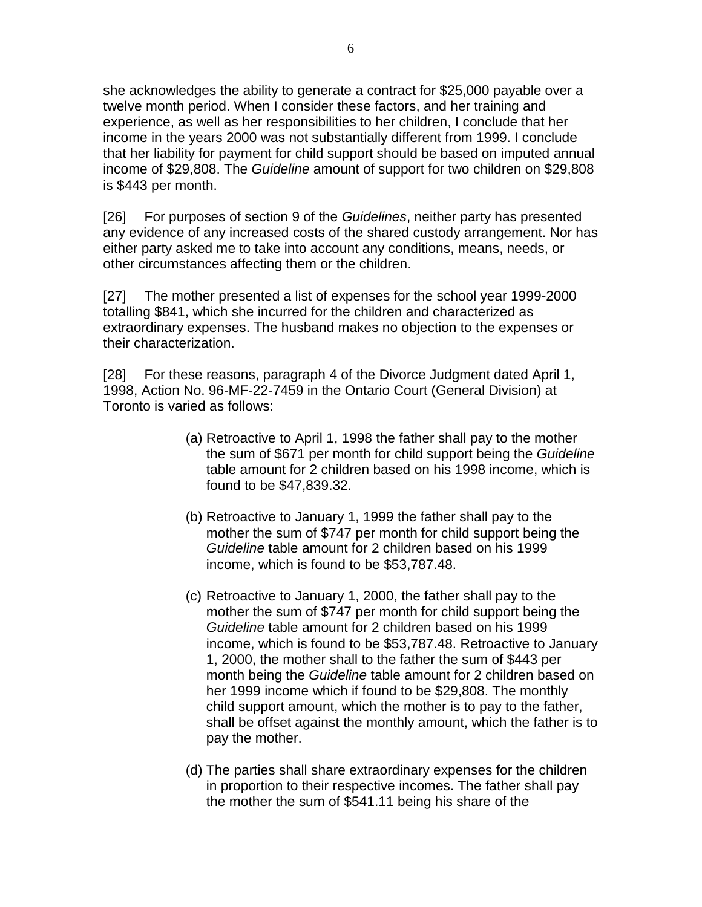she acknowledges the ability to generate a contract for \$25,000 payable over a twelve month period. When I consider these factors, and her training and experience, as well as her responsibilities to her children, I conclude that her income in the years 2000 was not substantially different from 1999. I conclude that her liability for payment for child support should be based on imputed annual income of \$29,808. The *Guideline* amount of support for two children on \$29,808 is \$443 per month.

[26] For purposes of section 9 of the *Guidelines*, neither party has presented any evidence of any increased costs of the shared custody arrangement. Nor has either party asked me to take into account any conditions, means, needs, or other circumstances affecting them or the children.

[27] The mother presented a list of expenses for the school year 1999-2000 totalling \$841, which she incurred for the children and characterized as extraordinary expenses. The husband makes no objection to the expenses or their characterization.

[28] For these reasons, paragraph 4 of the Divorce Judgment dated April 1, 1998, Action No. 96-MF-22-7459 in the Ontario Court (General Division) at Toronto is varied as follows:

- (a) Retroactive to April 1, 1998 the father shall pay to the mother the sum of \$671 per month for child support being the *Guideline* table amount for 2 children based on his 1998 income, which is found to be \$47,839.32.
- (b) Retroactive to January 1, 1999 the father shall pay to the mother the sum of \$747 per month for child support being the *Guideline* table amount for 2 children based on his 1999 income, which is found to be \$53,787.48.
- (c) Retroactive to January 1, 2000, the father shall pay to the mother the sum of \$747 per month for child support being the *Guideline* table amount for 2 children based on his 1999 income, which is found to be \$53,787.48. Retroactive to January 1, 2000, the mother shall to the father the sum of \$443 per month being the *Guideline* table amount for 2 children based on her 1999 income which if found to be \$29,808. The monthly child support amount, which the mother is to pay to the father, shall be offset against the monthly amount, which the father is to pay the mother.
- (d) The parties shall share extraordinary expenses for the children in proportion to their respective incomes. The father shall pay the mother the sum of \$541.11 being his share of the